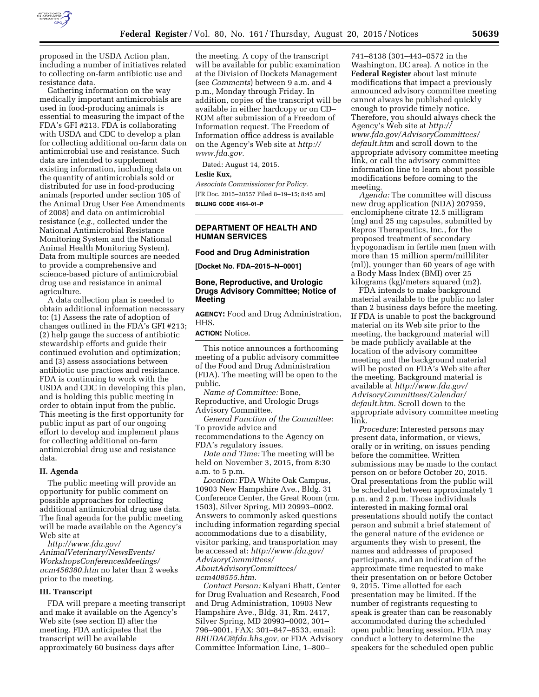

proposed in the USDA Action plan, including a number of initiatives related to collecting on-farm antibiotic use and

resistance data. Gathering information on the way medically important antimicrobials are used in food-producing animals is essential to measuring the impact of the FDA's GFI #213. FDA is collaborating with USDA and CDC to develop a plan for collecting additional on-farm data on antimicrobial use and resistance. Such data are intended to supplement existing information, including data on the quantity of antimicrobials sold or distributed for use in food-producing animals (reported under section 105 of the Animal Drug User Fee Amendments of 2008) and data on antimicrobial resistance (*e.g.,* collected under the National Antimicrobial Resistance Monitoring System and the National Animal Health Monitoring System). Data from multiple sources are needed to provide a comprehensive and science-based picture of antimicrobial drug use and resistance in animal agriculture.

A data collection plan is needed to obtain additional information necessary to: (1) Assess the rate of adoption of changes outlined in the FDA's GFI #213; (2) help gauge the success of antibiotic stewardship efforts and guide their continued evolution and optimization; and (3) assess associations between antibiotic use practices and resistance. FDA is continuing to work with the USDA and CDC in developing this plan, and is holding this public meeting in order to obtain input from the public. This meeting is the first opportunity for public input as part of our ongoing effort to develop and implement plans for collecting additional on-farm antimicrobial drug use and resistance data.

## **II. Agenda**

The public meeting will provide an opportunity for public comment on possible approaches for collecting additional antimicrobial drug use data. The final agenda for the public meeting will be made available on the Agency's Web site at

*[http://www.fda.gov/](http://www.fda.gov/AnimalVeterinary/NewsEvents/WorkshopsConferencesMeetings/ucm456380.htm) [AnimalVeterinary/NewsEvents/](http://www.fda.gov/AnimalVeterinary/NewsEvents/WorkshopsConferencesMeetings/ucm456380.htm) [WorkshopsConferencesMeetings/](http://www.fda.gov/AnimalVeterinary/NewsEvents/WorkshopsConferencesMeetings/ucm456380.htm) [ucm456380.htm](http://www.fda.gov/AnimalVeterinary/NewsEvents/WorkshopsConferencesMeetings/ucm456380.htm)* no later than 2 weeks prior to the meeting.

## **III. Transcript**

FDA will prepare a meeting transcript and make it available on the Agency's Web site (see section II) after the meeting. FDA anticipates that the transcript will be available approximately 60 business days after

the meeting. A copy of the transcript will be available for public examination at the Division of Dockets Management (see *Comments*) between 9 a.m. and 4 p.m., Monday through Friday. In addition, copies of the transcript will be available in either hardcopy or on CD– ROM after submission of a Freedom of Information request. The Freedom of Information office address is available on the Agency's Web site at *[http://](http://www.fda.gov) [www.fda.gov.](http://www.fda.gov)* 

Dated: August 14, 2015.

## **Leslie Kux,**

*Associate Commissioner for Policy.*  [FR Doc. 2015–20557 Filed 8–19–15; 8:45 am] **BILLING CODE 4164–01–P** 

# **DEPARTMENT OF HEALTH AND HUMAN SERVICES**

### **Food and Drug Administration**

**[Docket No. FDA–2015–N–0001]** 

## **Bone, Reproductive, and Urologic Drugs Advisory Committee; Notice of Meeting**

**AGENCY:** Food and Drug Administration, HHS.

### **ACTION:** Notice.

This notice announces a forthcoming meeting of a public advisory committee of the Food and Drug Administration (FDA). The meeting will be open to the public.

*Name of Committee:* Bone, Reproductive, and Urologic Drugs Advisory Committee.

*General Function of the Committee:*  To provide advice and recommendations to the Agency on FDA's regulatory issues.

*Date and Time:* The meeting will be held on November 3, 2015, from 8:30 a.m. to 5 p.m.

*Location:* FDA White Oak Campus, 10903 New Hampshire Ave., Bldg. 31 Conference Center, the Great Room (rm. 1503), Silver Spring, MD 20993–0002. Answers to commonly asked questions including information regarding special accommodations due to a disability, visitor parking, and transportation may be accessed at: *[http://www.fda.gov/](http://www.fda.gov/AdvisoryCommittees/AboutAdvisoryCommittees/ucm408555.htm) [AdvisoryCommittees/](http://www.fda.gov/AdvisoryCommittees/AboutAdvisoryCommittees/ucm408555.htm) [AboutAdvisoryCommittees/](http://www.fda.gov/AdvisoryCommittees/AboutAdvisoryCommittees/ucm408555.htm)*

#### *[ucm408555.htm.](http://www.fda.gov/AdvisoryCommittees/AboutAdvisoryCommittees/ucm408555.htm)*

*Contact Person:* Kalyani Bhatt, Center for Drug Evaluation and Research, Food and Drug Administration, 10903 New Hampshire Ave., Bldg. 31, Rm. 2417, Silver Spring, MD 20993–0002, 301– 796–9001, FAX: 301–847–8533, email: *[BRUDAC@fda.hhs.gov,](mailto:BRUDAC@fda.hhs.gov)* or FDA Advisory Committee Information Line, 1–800–

741–8138 (301–443–0572 in the Washington, DC area). A notice in the **Federal Register** about last minute modifications that impact a previously announced advisory committee meeting cannot always be published quickly enough to provide timely notice. Therefore, you should always check the Agency's Web site at *[http://](http://www.fda.gov/AdvisoryCommittees/default.htm) [www.fda.gov/AdvisoryCommittees/](http://www.fda.gov/AdvisoryCommittees/default.htm)* [default.htm](http://www.fda.gov/AdvisoryCommittees/default.htm) and scroll down to the appropriate advisory committee meeting link, or call the advisory committee information line to learn about possible modifications before coming to the meeting.

*Agenda:* The committee will discuss new drug application (NDA) 207959, enclomiphene citrate 12.5 milligram (mg) and 25 mg capsules, submitted by Repros Therapeutics, Inc., for the proposed treatment of secondary hypogonadism in fertile men (men with more than 15 million sperm/milliliter (ml)), younger than 60 years of age with a Body Mass Index (BMI) over 25 kilograms (kg)/meters squared (m2).

FDA intends to make background material available to the public no later than 2 business days before the meeting. If FDA is unable to post the background material on its Web site prior to the meeting, the background material will be made publicly available at the location of the advisory committee meeting and the background material will be posted on FDA's Web site after the meeting. Background material is available at *[http://www.fda.gov/](http://www.fda.gov/AdvisoryCommittees/Calendar/default.htm) [AdvisoryCommittees/Calendar/](http://www.fda.gov/AdvisoryCommittees/Calendar/default.htm) [default.htm.](http://www.fda.gov/AdvisoryCommittees/Calendar/default.htm)* Scroll down to the appropriate advisory committee meeting link.

*Procedure:* Interested persons may present data, information, or views, orally or in writing, on issues pending before the committee. Written submissions may be made to the contact person on or before October 20, 2015. Oral presentations from the public will be scheduled between approximately 1 p.m. and 2 p.m. Those individuals interested in making formal oral presentations should notify the contact person and submit a brief statement of the general nature of the evidence or arguments they wish to present, the names and addresses of proposed participants, and an indication of the approximate time requested to make their presentation on or before October 9, 2015. Time allotted for each presentation may be limited. If the number of registrants requesting to speak is greater than can be reasonably accommodated during the scheduled open public hearing session, FDA may conduct a lottery to determine the speakers for the scheduled open public